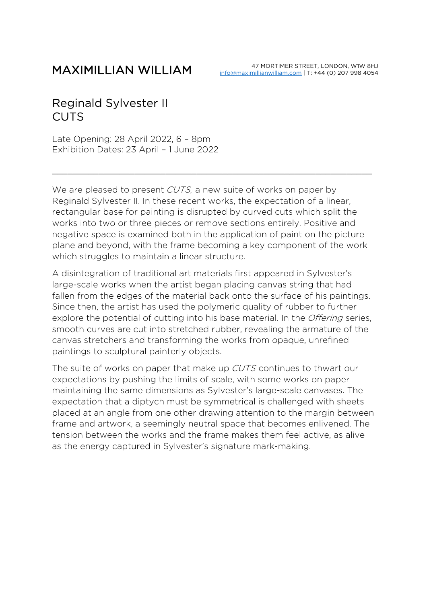Reginald Sylvester II CUTS

Late Opening: 28 April 2022, 6 – 8pm Exhibition Dates: 23 April – 1 June 2022

We are pleased to present CUTS, a new suite of works on paper by Reginald Sylvester II. In these recent works, the expectation of a linear, rectangular base for painting is disrupted by curved cuts which split the works into two or three pieces or remove sections entirely. Positive and negative space is examined both in the application of paint on the picture plane and beyond, with the frame becoming a key component of the work which struggles to maintain a linear structure.

\_\_\_\_\_\_\_\_\_\_\_\_\_\_\_\_\_\_\_\_\_\_\_\_\_\_\_\_\_\_\_\_\_\_\_\_\_\_\_\_\_\_\_\_\_\_\_\_\_\_\_\_\_\_\_\_\_\_\_\_\_\_

A disintegration of traditional art materials first appeared in Sylvester's large-scale works when the artist began placing canvas string that had fallen from the edges of the material back onto the surface of his paintings. Since then, the artist has used the polymeric quality of rubber to further explore the potential of cutting into his base material. In the *Offering* series, smooth curves are cut into stretched rubber, revealing the armature of the canvas stretchers and transforming the works from opaque, unrefined paintings to sculptural painterly objects.

The suite of works on paper that make up CUTS continues to thwart our expectations by pushing the limits of scale, with some works on paper maintaining the same dimensions as Sylvester's large-scale canvases. The expectation that a diptych must be symmetrical is challenged with sheets placed at an angle from one other drawing attention to the margin between frame and artwork, a seemingly neutral space that becomes enlivened. The tension between the works and the frame makes them feel active, as alive as the energy captured in Sylvester's signature mark-making.